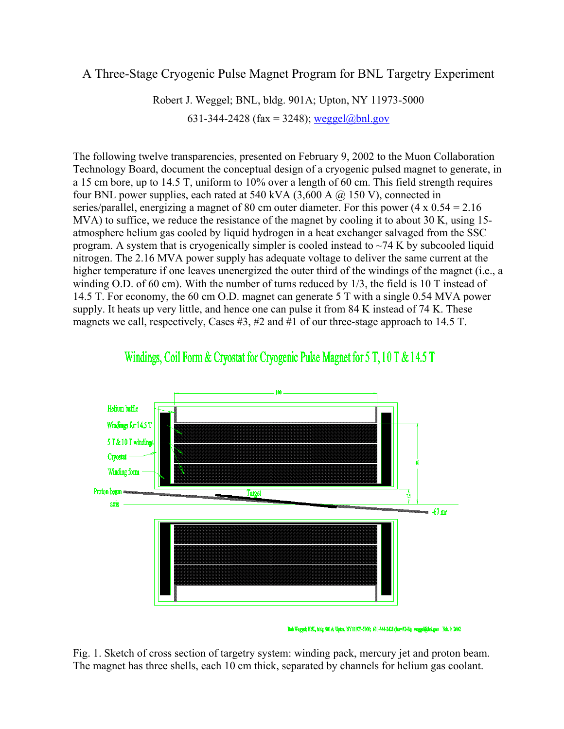## A Three-Stage Cryogenic Pulse Magnet Program for BNL Targetry Experiment

Robert J. Weggel; BNL, bldg. 901A; Upton, NY 11973-5000 631-344-2428 (fax = 3248); [weggel@bnl.gov](mailto:weggel@bnl.gov)

The following twelve transparencies, presented on February 9, 2002 to the Muon Collaboration Technology Board, document the conceptual design of a cryogenic pulsed magnet to generate, in a 15 cm bore, up to 14.5 T, uniform to 10% over a length of 60 cm. This field strength requires four BNL power supplies, each rated at 540 kVA  $(3,600 \text{ A } (\bar{\omega})$  150 V), connected in series/parallel, energizing a magnet of 80 cm outer diameter. For this power  $(4 \times 0.54 = 2.16$ MVA) to suffice, we reduce the resistance of the magnet by cooling it to about 30 K, using 15atmosphere helium gas cooled by liquid hydrogen in a heat exchanger salvaged from the SSC program. A system that is cryogenically simpler is cooled instead to  $\sim$ 74 K by subcooled liquid nitrogen. The 2.16 MVA power supply has adequate voltage to deliver the same current at the higher temperature if one leaves unenergized the outer third of the windings of the magnet (i.e., a winding O.D. of 60 cm). With the number of turns reduced by  $1/3$ , the field is 10 T instead of 14.5 T. For economy, the 60 cm O.D. magnet can generate 5 T with a single 0.54 MVA power supply. It heats up very little, and hence one can pulse it from 84 K instead of 74 K. These magnets we call, respectively, Cases #3, #2 and #1 of our three-stage approach to 14.5 T.



## Windings, Coil Form & Cryostat for Cryogenic Pulse Magnet for 5 T, 10 T & 14.5 T

Fig. 1. Sketch of cross section of targetry system: winding pack, mercury jet and proton beam. The magnet has three shells, each 10 cm thick, separated by channels for helium gas coolant.

Bob Weggel; BbE, bidg. 901 A; Upton, MY 11973-5000; 631-344-2428 (fax=3248); weggel@hol.gov Feb. 9, 2002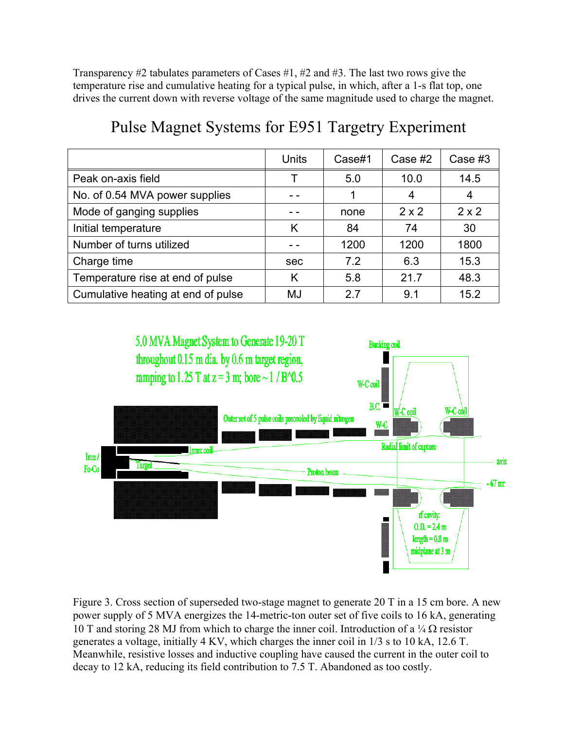Transparency #2 tabulates parameters of Cases #1, #2 and #3. The last two rows give the temperature rise and cumulative heating for a typical pulse, in which, after a 1-s flat top, one drives the current down with reverse voltage of the same magnitude used to charge the magnet.

|                                    | <b>Units</b> | Case#1 | Case #2      | Case $#3$    |
|------------------------------------|--------------|--------|--------------|--------------|
| Peak on-axis field                 |              | 5.0    | 10.0         | 14.5         |
| No. of 0.54 MVA power supplies     |              |        | 4            | 4            |
| Mode of ganging supplies           |              | none   | $2 \times 2$ | $2 \times 2$ |
| Initial temperature                | K            | 84     | 74           | 30           |
| Number of turns utilized           |              | 1200   | 1200         | 1800         |
| Charge time                        | sec          | 7.2    | 6.3          | 15.3         |
| Temperature rise at end of pulse   | Κ            | 5.8    | 21.7         | 48.3         |
| Cumulative heating at end of pulse | MJ           | 27     | 9.1          | 15.2         |

## Pulse Magnet Systems for E951 Targetry Experiment



Figure 3. Cross section of superseded two-stage magnet to generate 20 T in a 15 cm bore. A new power supply of 5 MVA energizes the 14-metric-ton outer set of five coils to 16 kA, generating 10 T and storing 28 MJ from which to charge the inner coil. Introduction of a  $\frac{1}{4} \Omega$  resistor generates a voltage, initially 4 KV, which charges the inner coil in 1/3 s to 10 kA, 12.6 T. Meanwhile, resistive losses and inductive coupling have caused the current in the outer coil to decay to 12 kA, reducing its field contribution to 7.5 T. Abandoned as too costly.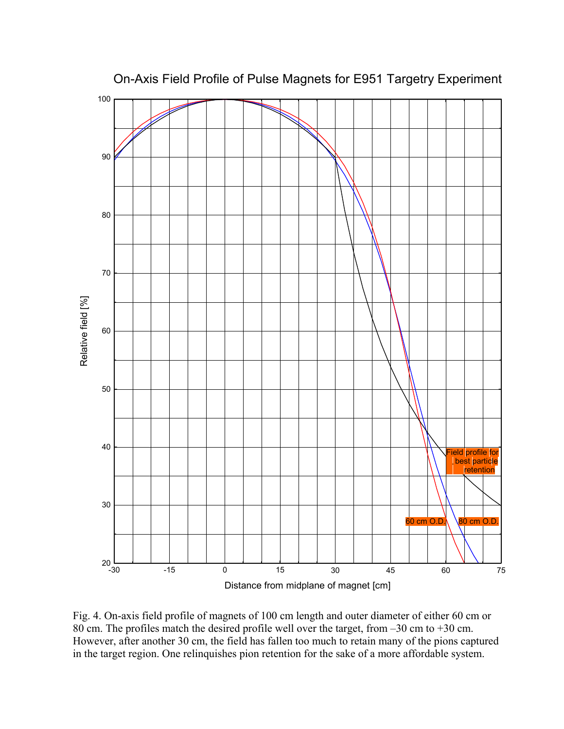

On-Axis Field Profile of Pulse Magnets for E951 Targetry Experiment

Fig. 4. On-axis field profile of magnets of 100 cm length and outer diameter of either 60 cm or 80 cm. The profiles match the desired profile well over the target, from –30 cm to +30 cm. However, after another 30 cm, the field has fallen too much to retain many of the pions captured in the target region. One relinquishes pion retention for the sake of a more affordable system.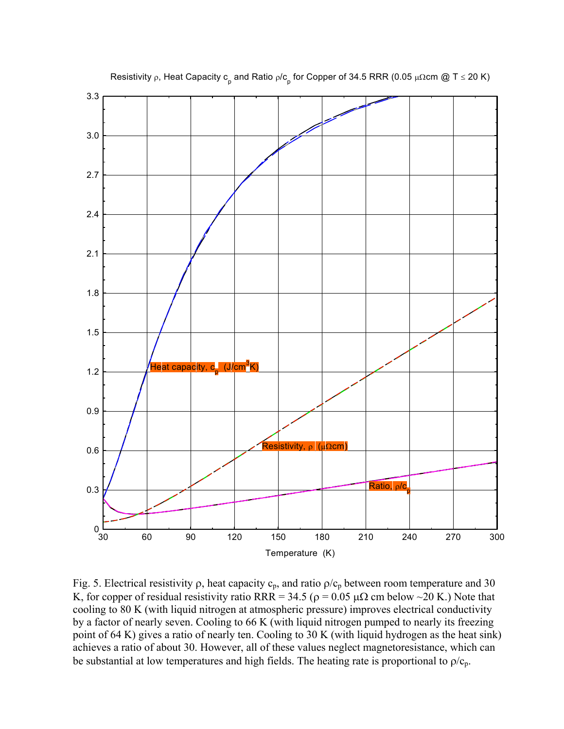

Resistivity ρ, Heat Capacity c<sub>p</sub> and Ratio ρ/c<sub>p</sub> for Copper of 34.5 RRR (0.05 μΩcm @ T ≤ 20 K)

Fig. 5. Electrical resistivity  $\rho$ , heat capacity  $c_p$ , and ratio  $\rho/c_p$  between room temperature and 30 K, for copper of residual resistivity ratio RRR = 34.5 ( $\rho = 0.05 \mu\Omega$  cm below ~20 K.) Note that cooling to 80 K (with liquid nitrogen at atmospheric pressure) improves electrical conductivity by a factor of nearly seven. Cooling to 66 K (with liquid nitrogen pumped to nearly its freezing point of 64 K) gives a ratio of nearly ten. Cooling to 30 K (with liquid hydrogen as the heat sink) achieves a ratio of about 30. However, all of these values neglect magnetoresistance, which can be substantial at low temperatures and high fields. The heating rate is proportional to  $\rho/c_p$ .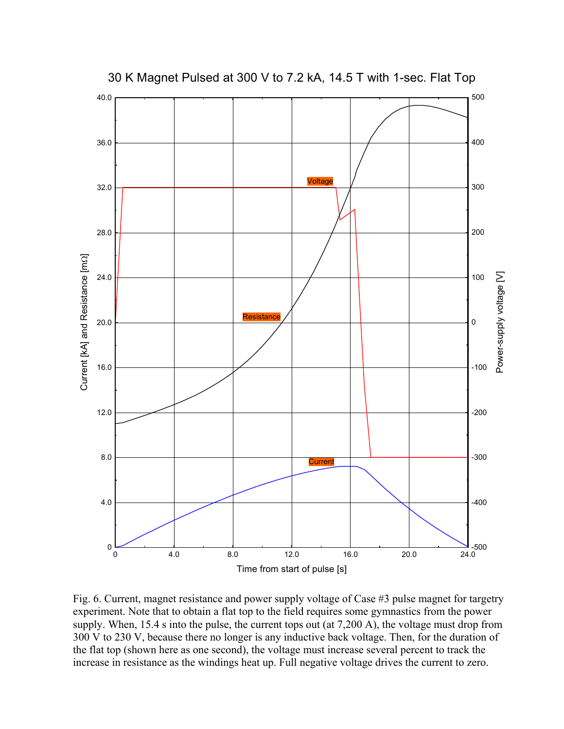

Fig. 6. Current, magnet resistance and power supply voltage of Case #3 pulse magnet for targetry experiment. Note that to obtain a flat top to the field requires some gymnastics from the power supply. When, 15.4 s into the pulse, the current tops out (at 7,200 A), the voltage must drop from 300 V to 230 V, because there no longer is any inductive back voltage. Then, for the duration of the flat top (shown here as one second), the voltage must increase several percent to track the increase in resistance as the windings heat up. Full negative voltage drives the current to zero.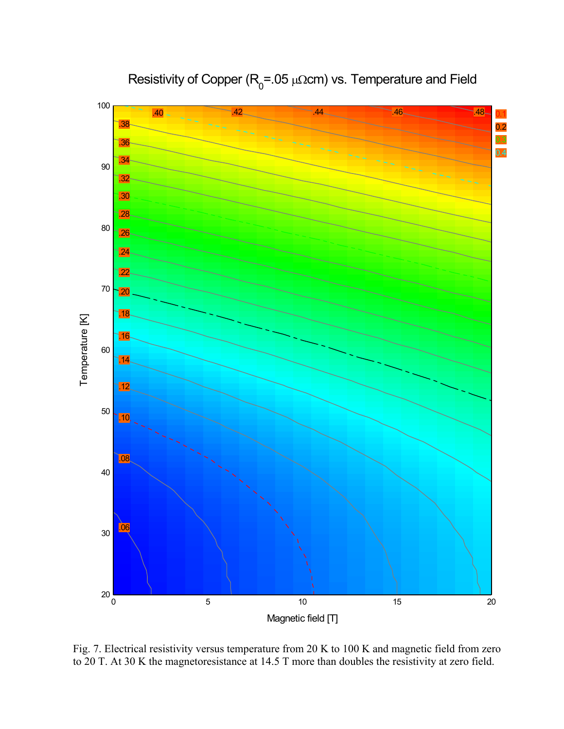

Resistivity of Copper ( $R_{0}$ =.05 µΩcm) vs. Temperature and Field

Fig. 7. Electrical resistivity versus temperature from 20 K to 100 K and magnetic field from zero to 20 T. At 30 K the magnetoresistance at 14.5 T more than doubles the resistivity at zero field.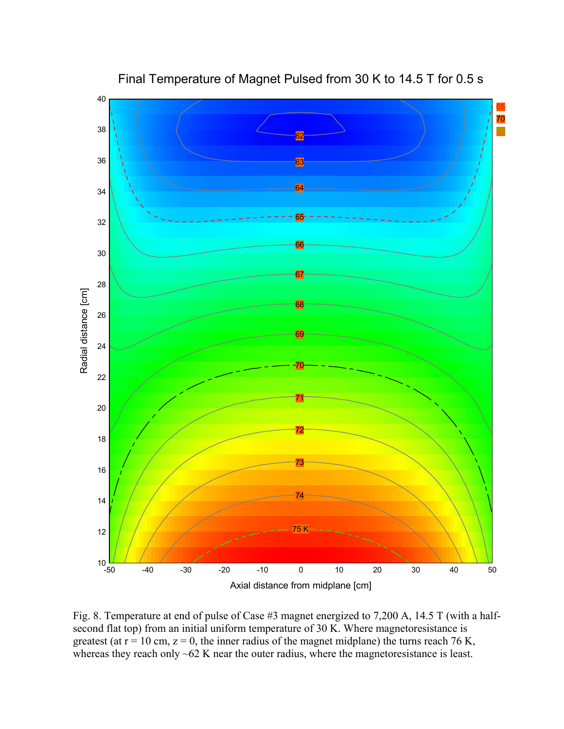

Final Temperature of Magnet Pulsed from 30 K to 14.5 T for 0.5 s

Fig. 8. Temperature at end of pulse of Case #3 magnet energized to 7,200 A, 14.5 T (with a halfsecond flat top) from an initial uniform temperature of 30 K. Where magnetoresistance is greatest (at  $r = 10$  cm,  $z = 0$ , the inner radius of the magnet midplane) the turns reach 76 K, whereas they reach only ~62 K near the outer radius, where the magnetoresistance is least.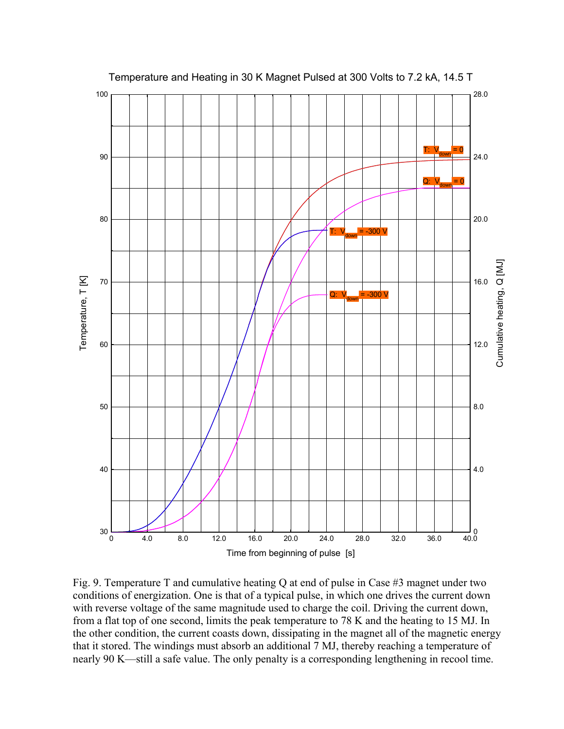

Fig. 9. Temperature T and cumulative heating Q at end of pulse in Case #3 magnet under two conditions of energization. One is that of a typical pulse, in which one drives the current down with reverse voltage of the same magnitude used to charge the coil. Driving the current down, from a flat top of one second, limits the peak temperature to 78 K and the heating to 15 MJ. In the other condition, the current coasts down, dissipating in the magnet all of the magnetic energy that it stored. The windings must absorb an additional 7 MJ, thereby reaching a temperature of nearly 90 K—still a safe value. The only penalty is a corresponding lengthening in recool time.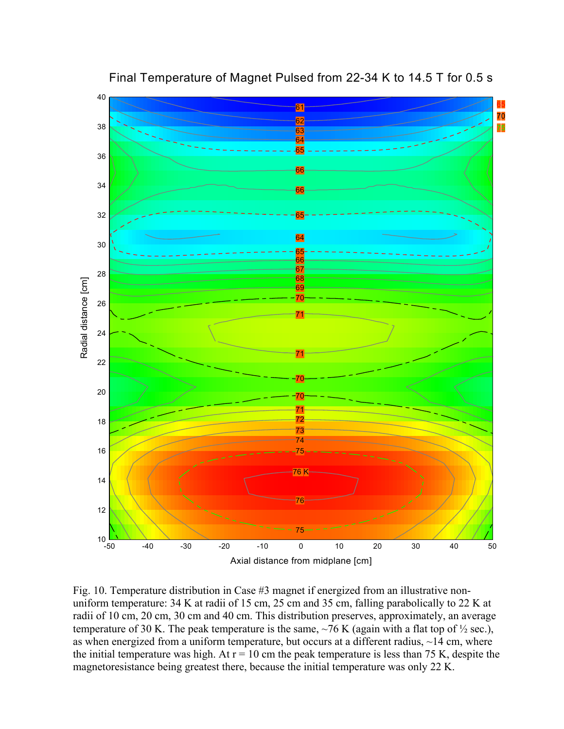

Final Temperature of Magnet Pulsed from 22-34 K to 14.5 T for 0.5 s

Fig. 10. Temperature distribution in Case #3 magnet if energized from an illustrative nonuniform temperature: 34 K at radii of 15 cm, 25 cm and 35 cm, falling parabolically to 22 K at radii of 10 cm, 20 cm, 30 cm and 40 cm. This distribution preserves, approximately, an average temperature of 30 K. The peak temperature is the same,  $\sim$  76 K (again with a flat top of  $\frac{1}{2}$  sec.), as when energized from a uniform temperature, but occurs at a different radius,  $\sim$ 14 cm, where the initial temperature was high. At  $r = 10$  cm the peak temperature is less than 75 K, despite the magnetoresistance being greatest there, because the initial temperature was only 22 K.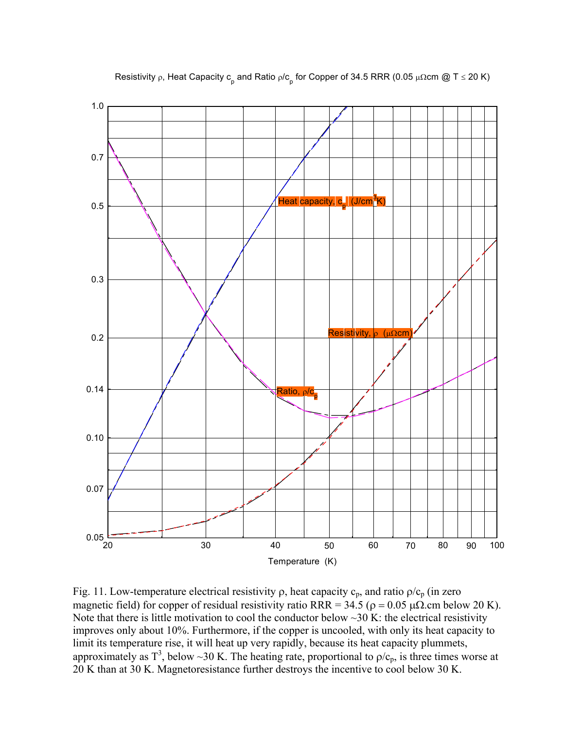

Resistivity ρ, Heat Capacity c<sub>p</sub> and Ratio ρ/c<sub>p</sub> for Copper of 34.5 RRR (0.05 μΩcm @ T ≤ 20 K)

Fig. 11. Low-temperature electrical resistivity  $\rho$ , heat capacity  $c_p$ , and ratio  $\rho/c_p$  (in zero magnetic field) for copper of residual resistivity ratio RRR =  $34.5$  ( $\rho = 0.05$   $\mu\Omega$ .cm below 20 K). Note that there is little motivation to cool the conductor below  $\sim$ 30 K: the electrical resistivity improves only about 10%. Furthermore, if the copper is uncooled, with only its heat capacity to limit its temperature rise, it will heat up very rapidly, because its heat capacity plummets, approximately as  $T^3$ , below ~30 K. The heating rate, proportional to  $\rho/c_p$ , is three times worse at 20 K than at 30 K. Magnetoresistance further destroys the incentive to cool below 30 K.